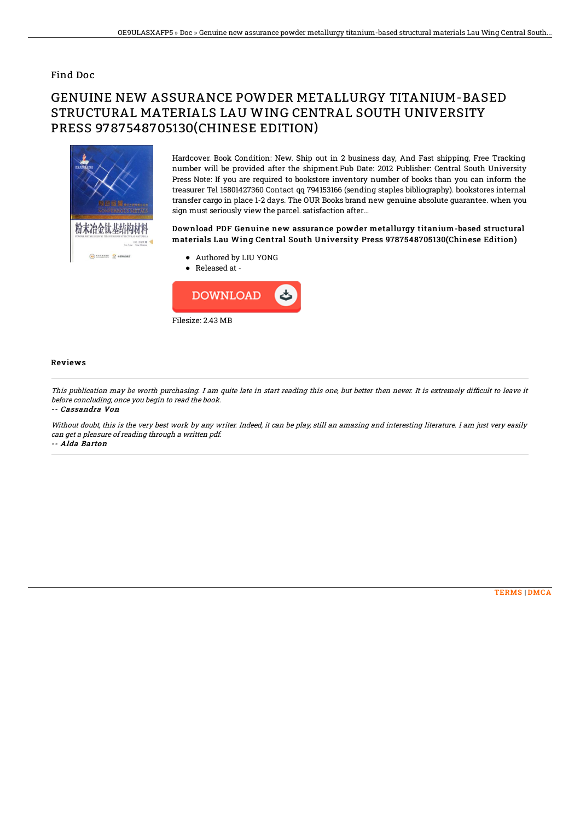### Find Doc

# GENUINE NEW ASSURANCE POWDER METALLURGY TITANIUM-BASED STRUCTURAL MATERIALS LAU WING CENTRAL SOUTH UNIVERSITY PRESS 9787548705130(CHINESE EDITION)



Hardcover. Book Condition: New. Ship out in 2 business day, And Fast shipping, Free Tracking number will be provided after the shipment.Pub Date: 2012 Publisher: Central South University Press Note: If you are required to bookstore inventory number of books than you can inform the treasurer Tel 15801427360 Contact qq 794153166 (sending staples bibliography). bookstores internal transfer cargo in place 1-2 days. The OUR Books brand new genuine absolute guarantee. when you sign must seriously view the parcel. satisfaction after...

#### Download PDF Genuine new assurance powder metallurgy titanium-based structural materials Lau Wing Central South University Press 9787548705130(Chinese Edition)

- Authored by LIU YONG
- Released at -



#### Reviews

This publication may be worth purchasing. I am quite late in start reading this one, but better then never. It is extremely difficult to leave it before concluding, once you begin to read the book.

-- Cassandra Von

Without doubt, this is the very best work by any writer. Indeed, it can be play, still an amazing and interesting literature. I am just very easily can get <sup>a</sup> pleasure of reading through <sup>a</sup> written pdf.

-- Alda Barton